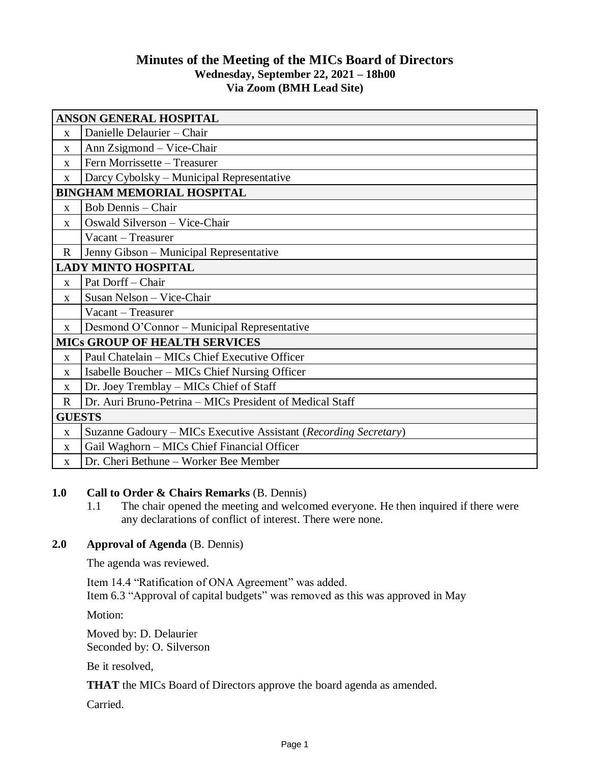# **Minutes of the Meeting of the MICs Board of Directors Wednesday, September 22, 2021 – 18h00 Via Zoom (BMH Lead Site)**

| <b>ANSON GENERAL HOSPITAL</b>        |                                                                  |
|--------------------------------------|------------------------------------------------------------------|
| X                                    | Danielle Delaurier - Chair                                       |
| $\mathbf{X}$                         | Ann Zsigmond – Vice-Chair                                        |
| $\mathbf{X}$                         | Fern Morrissette - Treasurer                                     |
| $\mathbf X$                          | Darcy Cybolsky – Municipal Representative                        |
| <b>BINGHAM MEMORIAL HOSPITAL</b>     |                                                                  |
| $\mathbf{X}$                         | <b>Bob Dennis - Chair</b>                                        |
| $\mathbf{X}$                         | Oswald Silverson - Vice-Chair                                    |
|                                      | Vacant – Treasurer                                               |
| $\mathbf R$                          | Jenny Gibson - Municipal Representative                          |
| <b>LADY MINTO HOSPITAL</b>           |                                                                  |
| $\mathbf{X}$                         | Pat Dorff - Chair                                                |
| $\mathbf{x}$                         | Susan Nelson - Vice-Chair                                        |
|                                      | Vacant - Treasurer                                               |
| $\mathbf{X}$                         | Desmond O'Connor - Municipal Representative                      |
| <b>MICS GROUP OF HEALTH SERVICES</b> |                                                                  |
| $\mathbf{X}$                         | Paul Chatelain - MICs Chief Executive Officer                    |
| $\mathbf X$                          | Isabelle Boucher – MICs Chief Nursing Officer                    |
| X                                    | Dr. Joey Tremblay - MICs Chief of Staff                          |
| $\mathbf R$                          | Dr. Auri Bruno-Petrina - MICs President of Medical Staff         |
| <b>GUESTS</b>                        |                                                                  |
| $\mathbf{X}$                         | Suzanne Gadoury – MICs Executive Assistant (Recording Secretary) |
| $\mathbf{X}$                         | Gail Waghorn - MICs Chief Financial Officer                      |
| $\mathbf{X}$                         | Dr. Cheri Bethune - Worker Bee Member                            |

### **1.0 Call to Order & Chairs Remarks** (B. Dennis)

1.1 The chair opened the meeting and welcomed everyone. He then inquired if there were any declarations of conflict of interest. There were none.

### **2.0 Approval of Agenda** (B. Dennis)

The agenda was reviewed.

Item 14.4 "Ratification of ONA Agreement" was added. Item 6.3 "Approval of capital budgets" was removed as this was approved in May

Motion:

Moved by: D. Delaurier Seconded by: O. Silverson

Be it resolved,

**THAT** the MICs Board of Directors approve the board agenda as amended.

Carried.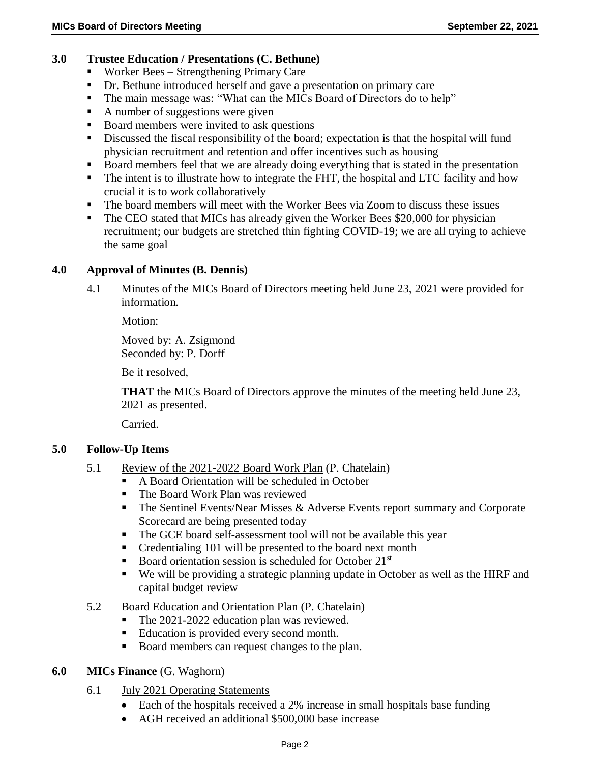#### **3.0 Trustee Education / Presentations (C. Bethune)**

- Worker Bees Strengthening Primary Care
- Dr. Bethune introduced herself and gave a presentation on primary care
- The main message was: "What can the MICs Board of Directors do to help"
- $\blacksquare$  A number of suggestions were given
- Board members were invited to ask questions
- Discussed the fiscal responsibility of the board; expectation is that the hospital will fund physician recruitment and retention and offer incentives such as housing
- Board members feel that we are already doing everything that is stated in the presentation
- The intent is to illustrate how to integrate the FHT, the hospital and LTC facility and how crucial it is to work collaboratively
- The board members will meet with the Worker Bees via Zoom to discuss these issues
- The CEO stated that MICs has already given the Worker Bees \$20,000 for physician recruitment; our budgets are stretched thin fighting COVID-19; we are all trying to achieve the same goal

#### **4.0 Approval of Minutes (B. Dennis)**

4.1 Minutes of the MICs Board of Directors meeting held June 23, 2021 were provided for information.

Motion:

Moved by: A. Zsigmond Seconded by: P. Dorff

Be it resolved,

**THAT** the MICs Board of Directors approve the minutes of the meeting held June 23, 2021 as presented.

Carried.

#### **5.0 Follow-Up Items**

- 5.1 Review of the 2021-2022 Board Work Plan (P. Chatelain)
	- A Board Orientation will be scheduled in October<br>The Board Work Plan was reviewed
	- The Board Work Plan was reviewed
	- $\blacksquare$  The Sentinel Events/Near Misses & Adverse Events report summary and Corporate Scorecard are being presented today
	- The GCE board self-assessment tool will not be available this year
	- Credentialing 101 will be presented to the board next month
	- Board orientation session is scheduled for October  $21<sup>st</sup>$
	- We will be providing a strategic planning update in October as well as the HIRF and capital budget review
- 5.2 Board Education and Orientation Plan (P. Chatelain)
	- The 2021-2022 education plan was reviewed.
	- Education is provided every second month.
	- Board members can request changes to the plan.

#### **6.0 MICs Finance** (G. Waghorn)

- 6.1 July 2021 Operating Statements
	- Each of the hospitals received a 2% increase in small hospitals base funding
	- AGH received an additional \$500,000 base increase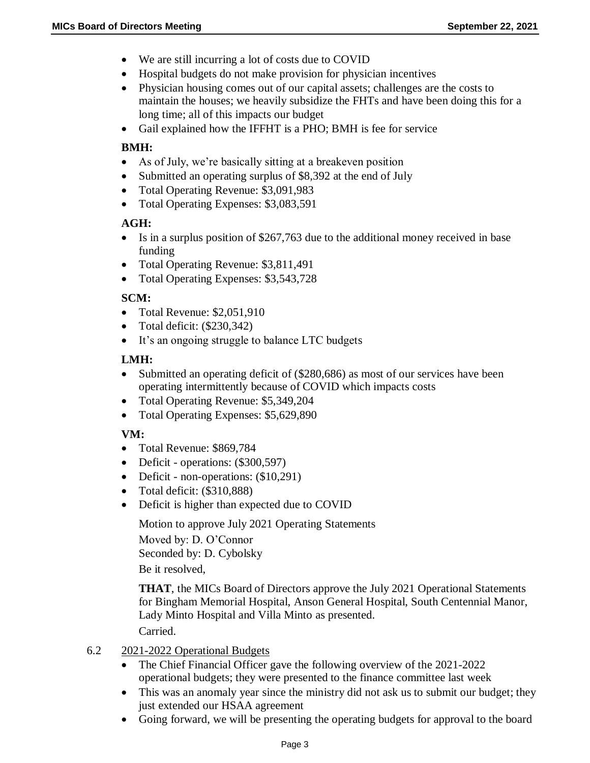- We are still incurring a lot of costs due to COVID
- Hospital budgets do not make provision for physician incentives
- Physician housing comes out of our capital assets; challenges are the costs to maintain the houses; we heavily subsidize the FHTs and have been doing this for a long time; all of this impacts our budget
- Gail explained how the IFFHT is a PHO; BMH is fee for service

#### **BMH:**

- As of July, we're basically sitting at a breakeven position
- Submitted an operating surplus of \$8,392 at the end of July
- Total Operating Revenue: \$3,091,983
- Total Operating Expenses: \$3,083,591

### **AGH:**

- Is in a surplus position of \$267,763 due to the additional money received in base funding
- Total Operating Revenue: \$3,811,491
- Total Operating Expenses: \$3,543,728

# **SCM:**

- Total Revenue: \$2,051,910
- Total deficit:  $(\$230,342)$
- It's an ongoing struggle to balance LTC budgets

### **LMH:**

- Submitted an operating deficit of (\$280,686) as most of our services have been operating intermittently because of COVID which impacts costs
- Total Operating Revenue: \$5,349,204
- Total Operating Expenses: \$5,629,890

# **VM:**

- Total Revenue: \$869,784
- Deficit operations: (\$300,597)
- Deficit non-operations: (\$10,291)
- Total deficit: (\$310,888)
- Deficit is higher than expected due to COVID

Motion to approve July 2021 Operating Statements

Moved by: D. O'Connor Seconded by: D. Cybolsky

Be it resolved,

**THAT**, the MICs Board of Directors approve the July 2021 Operational Statements for Bingham Memorial Hospital, Anson General Hospital, South Centennial Manor, Lady Minto Hospital and Villa Minto as presented. Carried.

#### 6.2 2021-2022 Operational Budgets

- The Chief Financial Officer gave the following overview of the 2021-2022 operational budgets; they were presented to the finance committee last week
- This was an anomaly year since the ministry did not ask us to submit our budget; they just extended our HSAA agreement
- Going forward, we will be presenting the operating budgets for approval to the board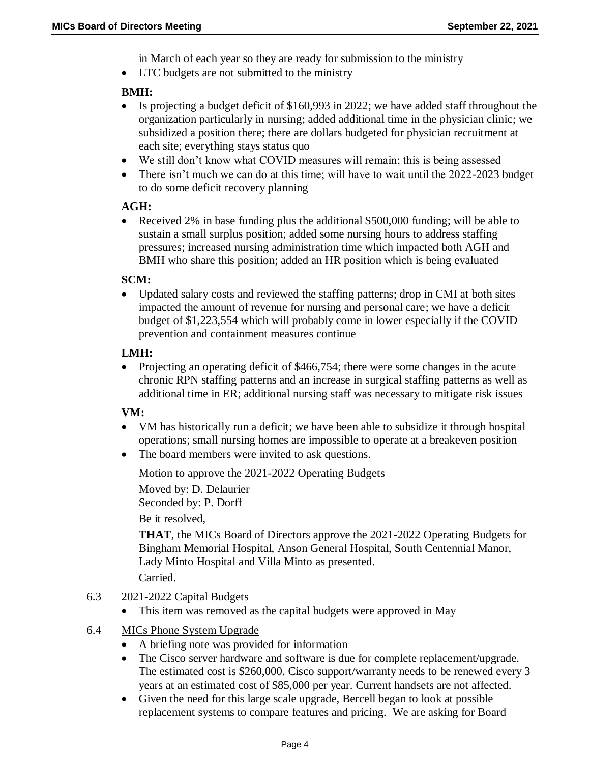in March of each year so they are ready for submission to the ministry

• LTC budgets are not submitted to the ministry

#### **BMH:**

- Is projecting a budget deficit of \$160,993 in 2022; we have added staff throughout the organization particularly in nursing; added additional time in the physician clinic; we subsidized a position there; there are dollars budgeted for physician recruitment at each site; everything stays status quo
- We still don't know what COVID measures will remain; this is being assessed
- There isn't much we can do at this time; will have to wait until the 2022-2023 budget to do some deficit recovery planning

### **AGH:**

 Received 2% in base funding plus the additional \$500,000 funding; will be able to sustain a small surplus position; added some nursing hours to address staffing pressures; increased nursing administration time which impacted both AGH and BMH who share this position; added an HR position which is being evaluated

#### **SCM:**

 Updated salary costs and reviewed the staffing patterns; drop in CMI at both sites impacted the amount of revenue for nursing and personal care; we have a deficit budget of \$1,223,554 which will probably come in lower especially if the COVID prevention and containment measures continue

### **LMH:**

 Projecting an operating deficit of \$466,754; there were some changes in the acute chronic RPN staffing patterns and an increase in surgical staffing patterns as well as additional time in ER; additional nursing staff was necessary to mitigate risk issues

# **VM:**

- VM has historically run a deficit; we have been able to subsidize it through hospital operations; small nursing homes are impossible to operate at a breakeven position
- The board members were invited to ask questions.

Motion to approve the 2021-2022 Operating Budgets

Moved by: D. Delaurier

Seconded by: P. Dorff

Be it resolved,

**THAT**, the MICs Board of Directors approve the 2021-2022 Operating Budgets for Bingham Memorial Hospital, Anson General Hospital, South Centennial Manor, Lady Minto Hospital and Villa Minto as presented.

Carried.

- 6.3 2021-2022 Capital Budgets
	- This item was removed as the capital budgets were approved in May
- 6.4 MICs Phone System Upgrade
	- A briefing note was provided for information
	- The Cisco server hardware and software is due for complete replacement/upgrade. The estimated cost is \$260,000. Cisco support/warranty needs to be renewed every 3 years at an estimated cost of \$85,000 per year. Current handsets are not affected.
	- Given the need for this large scale upgrade, Bercell began to look at possible replacement systems to compare features and pricing. We are asking for Board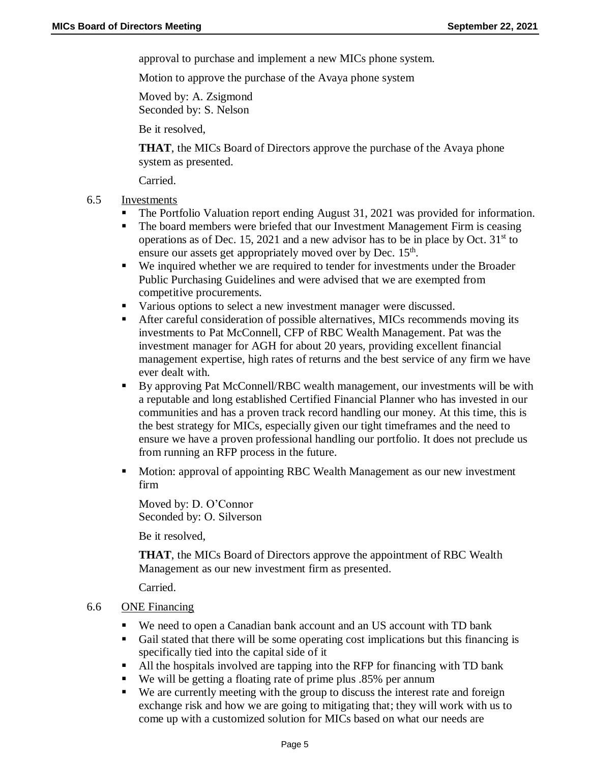approval to purchase and implement a new MICs phone system.

Motion to approve the purchase of the Avaya phone system

Moved by: A. Zsigmond Seconded by: S. Nelson

Be it resolved,

**THAT**, the MICs Board of Directors approve the purchase of the Avaya phone system as presented.

Carried.

- 6.5 Investments
	- The Portfolio Valuation report ending August 31, 2021 was provided for information.
	- The board members were briefed that our Investment Management Firm is ceasing operations as of Dec. 15, 2021 and a new advisor has to be in place by Oct.  $31<sup>st</sup>$  to ensure our assets get appropriately moved over by Dec.  $15<sup>th</sup>$ .
	- We inquired whether we are required to tender for investments under the Broader Public Purchasing Guidelines and were advised that we are exempted from competitive procurements.
	- Various options to select a new investment manager were discussed.
	- After careful consideration of possible alternatives, MICs recommends moving its investments to Pat McConnell, CFP of RBC Wealth Management. Pat was the investment manager for AGH for about 20 years, providing excellent financial management expertise, high rates of returns and the best service of any firm we have ever dealt with.
	- By approving Pat McConnell/RBC wealth management, our investments will be with a reputable and long established Certified Financial Planner who has invested in our communities and has a proven track record handling our money. At this time, this is the best strategy for MICs, especially given our tight timeframes and the need to ensure we have a proven professional handling our portfolio. It does not preclude us from running an RFP process in the future.
	- Motion: approval of appointing RBC Wealth Management as our new investment firm

Moved by: D. O'Connor Seconded by: O. Silverson

Be it resolved,

**THAT**, the MICs Board of Directors approve the appointment of RBC Wealth Management as our new investment firm as presented.

Carried.

#### 6.6 ONE Financing

- We need to open a Canadian bank account and an US account with TD bank
- Gail stated that there will be some operating cost implications but this financing is specifically tied into the capital side of it
- All the hospitals involved are tapping into the RFP for financing with TD bank
- We will be getting a floating rate of prime plus .85% per annum
- We are currently meeting with the group to discuss the interest rate and foreign exchange risk and how we are going to mitigating that; they will work with us to come up with a customized solution for MICs based on what our needs are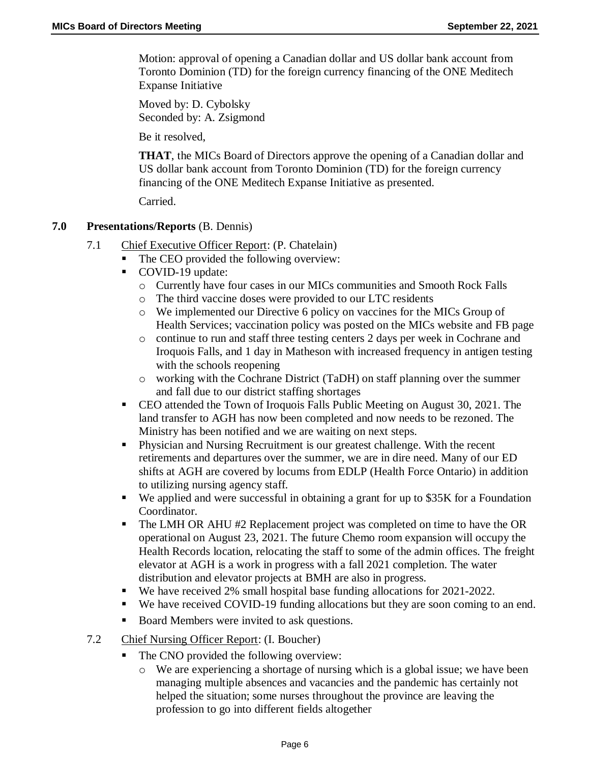Motion: approval of opening a Canadian dollar and US dollar bank account from Toronto Dominion (TD) for the foreign currency financing of the ONE Meditech Expanse Initiative

Moved by: D. Cybolsky Seconded by: A. Zsigmond

Be it resolved,

**THAT**, the MICs Board of Directors approve the opening of a Canadian dollar and US dollar bank account from Toronto Dominion (TD) for the foreign currency financing of the ONE Meditech Expanse Initiative as presented.

Carried.

# **7.0 Presentations/Reports** (B. Dennis)

- 7.1 Chief Executive Officer Report: (P. Chatelain)
	- The CEO provided the following overview:
	- COVID-19 update:
		- o Currently have four cases in our MICs communities and Smooth Rock Falls
		- o The third vaccine doses were provided to our LTC residents
		- o We implemented our Directive 6 policy on vaccines for the MICs Group of Health Services; vaccination policy was posted on the MICs website and FB page
		- o continue to run and staff three testing centers 2 days per week in Cochrane and Iroquois Falls, and 1 day in Matheson with increased frequency in antigen testing with the schools reopening
		- o working with the Cochrane District (TaDH) on staff planning over the summer and fall due to our district staffing shortages
	- CEO attended the Town of Iroquois Falls Public Meeting on August 30, 2021. The land transfer to AGH has now been completed and now needs to be rezoned. The Ministry has been notified and we are waiting on next steps.
	- Physician and Nursing Recruitment is our greatest challenge. With the recent retirements and departures over the summer, we are in dire need. Many of our ED shifts at AGH are covered by locums from EDLP (Health Force Ontario) in addition to utilizing nursing agency staff.
	- We applied and were successful in obtaining a grant for up to \$35K for a Foundation Coordinator.
	- The LMH OR AHU #2 Replacement project was completed on time to have the OR operational on August 23, 2021. The future Chemo room expansion will occupy the Health Records location, relocating the staff to some of the admin offices. The freight elevator at AGH is a work in progress with a fall 2021 completion. The water distribution and elevator projects at BMH are also in progress.
	- We have received 2% small hospital base funding allocations for 2021-2022.
	- We have received COVID-19 funding allocations but they are soon coming to an end.
	- Board Members were invited to ask questions.
- 7.2 Chief Nursing Officer Report: (I. Boucher)
	- The CNO provided the following overview:
		- o We are experiencing a shortage of nursing which is a global issue; we have been managing multiple absences and vacancies and the pandemic has certainly not helped the situation; some nurses throughout the province are leaving the profession to go into different fields altogether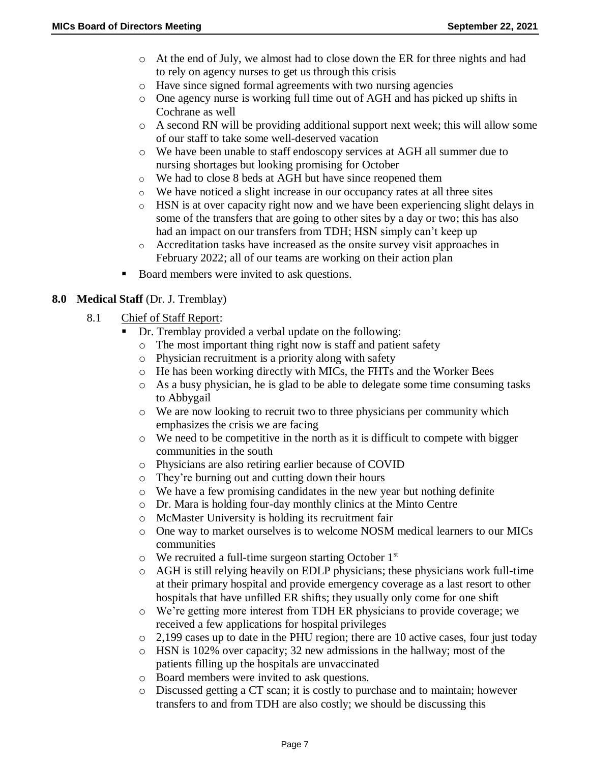- o At the end of July, we almost had to close down the ER for three nights and had to rely on agency nurses to get us through this crisis
- o Have since signed formal agreements with two nursing agencies
- o One agency nurse is working full time out of AGH and has picked up shifts in Cochrane as well
- o A second RN will be providing additional support next week; this will allow some of our staff to take some well-deserved vacation
- o We have been unable to staff endoscopy services at AGH all summer due to nursing shortages but looking promising for October
- o We had to close 8 beds at AGH but have since reopened them
- o We have noticed a slight increase in our occupancy rates at all three sites
- o HSN is at over capacity right now and we have been experiencing slight delays in some of the transfers that are going to other sites by a day or two; this has also had an impact on our transfers from TDH; HSN simply can't keep up
- o Accreditation tasks have increased as the onsite survey visit approaches in February 2022; all of our teams are working on their action plan
- Board members were invited to ask questions.

# **8.0 Medical Staff** (Dr. J. Tremblay)

- 8.1 Chief of Staff Report:
	- Dr. Tremblay provided a verbal update on the following:
		- o The most important thing right now is staff and patient safety
		- o Physician recruitment is a priority along with safety
		- o He has been working directly with MICs, the FHTs and the Worker Bees
		- o As a busy physician, he is glad to be able to delegate some time consuming tasks to Abbygail
		- o We are now looking to recruit two to three physicians per community which emphasizes the crisis we are facing
		- $\circ$  We need to be competitive in the north as it is difficult to compete with bigger communities in the south
		- o Physicians are also retiring earlier because of COVID
		- o They're burning out and cutting down their hours
		- o We have a few promising candidates in the new year but nothing definite
		- o Dr. Mara is holding four-day monthly clinics at the Minto Centre
		- o McMaster University is holding its recruitment fair
		- o One way to market ourselves is to welcome NOSM medical learners to our MICs communities
		- $\circ$  We recruited a full-time surgeon starting October 1<sup>st</sup>
		- o AGH is still relying heavily on EDLP physicians; these physicians work full-time at their primary hospital and provide emergency coverage as a last resort to other hospitals that have unfilled ER shifts; they usually only come for one shift
		- o We're getting more interest from TDH ER physicians to provide coverage; we received a few applications for hospital privileges
		- $\circ$  2,199 cases up to date in the PHU region; there are 10 active cases, four just today
		- $\circ$  HSN is 102% over capacity; 32 new admissions in the hallway; most of the patients filling up the hospitals are unvaccinated
		- o Board members were invited to ask questions.
		- o Discussed getting a CT scan; it is costly to purchase and to maintain; however transfers to and from TDH are also costly; we should be discussing this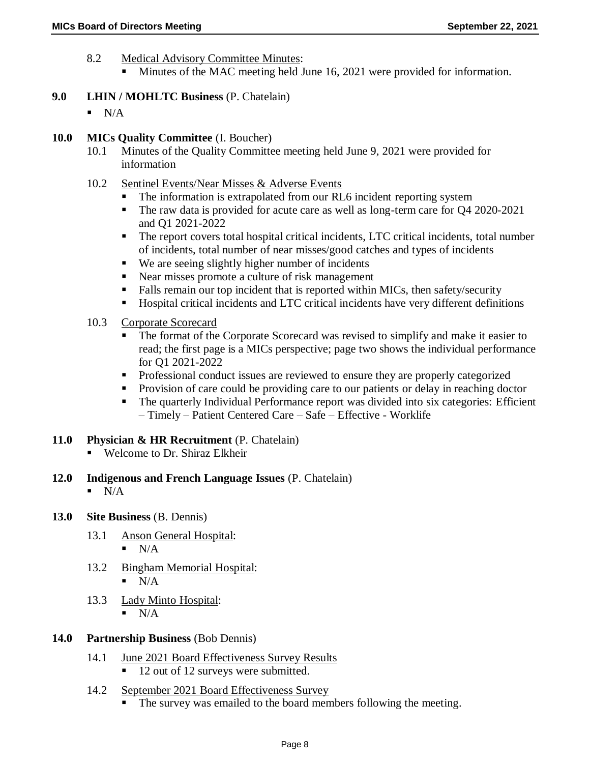- 8.2 Medical Advisory Committee Minutes:
	- Minutes of the MAC meeting held June 16, 2021 were provided for information.
- **9.0 LHIN / MOHLTC Business** (P. Chatelain)
	- $N/A$
- **10.0 MICs Quality Committee** (I. Boucher)
	- 10.1 Minutes of the Quality Committee meeting held June 9, 2021 were provided for information
	- 10.2 Sentinel Events/Near Misses & Adverse Events
		- The information is extrapolated from our RL6 incident reporting system
		- The raw data is provided for acute care as well as long-term care for Q4 2020-2021 and Q1 2021-2022
		- The report covers total hospital critical incidents, LTC critical incidents, total number of incidents, total number of near misses/good catches and types of incidents
		- We are seeing slightly higher number of incidents
		- Near misses promote a culture of risk management
		- Falls remain our top incident that is reported within MICs, then safety/security
		- Hospital critical incidents and LTC critical incidents have very different definitions
	- 10.3 Corporate Scorecard
		- The format of the Corporate Scorecard was revised to simplify and make it easier to read; the first page is a MICs perspective; page two shows the individual performance for Q1 2021-2022
		- Professional conduct issues are reviewed to ensure they are properly categorized
		- **Provision of care could be providing care to our patients or delay in reaching doctor**
		- The quarterly Individual Performance report was divided into six categories: Efficient – Timely – Patient Centered Care – Safe – Effective - Worklife
- **11.0 Physician & HR Recruitment** (P. Chatelain)
	- Welcome to Dr. Shiraz Elkheir
- **12.0 Indigenous and French Language Issues** (P. Chatelain)
	- $\blacksquare$  N/A
- **13.0 Site Business** (B. Dennis)
	- 13.1 Anson General Hospital:  $\blacksquare$  N/A
	- 13.2 Bingham Memorial Hospital:  $\blacksquare$  N/A
	- 13.3 Lady Minto Hospital:
		- $\blacksquare$  N/A
- **14.0 Partnership Business** (Bob Dennis)
	- 14.1 June 2021 Board Effectiveness Survey Results
		- 12 out of 12 surveys were submitted.
	- 14.2 September 2021 Board Effectiveness Survey
		- The survey was emailed to the board members following the meeting.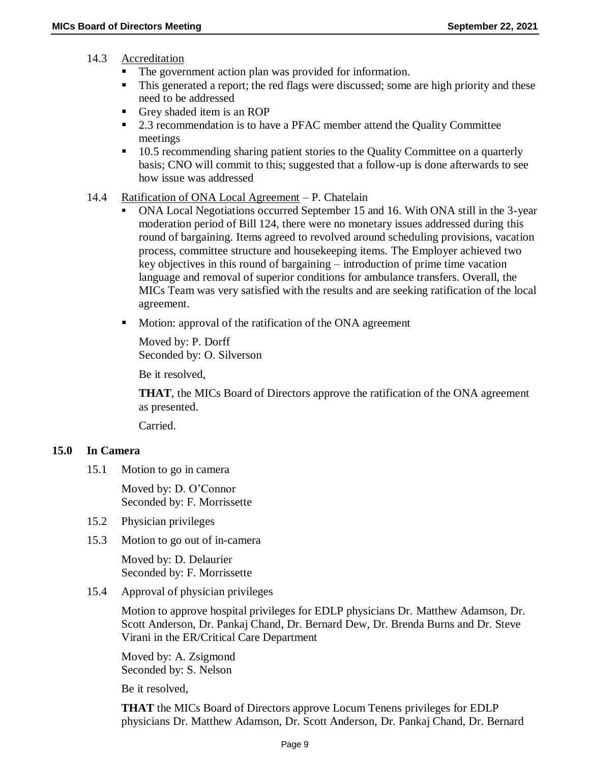#### 14.3 Accreditation

- The government action plan was provided for information.
- This generated a report; the red flags were discussed; some are high priority and these need to be addressed
- Grey shaded item is an ROP
- 2.3 recommendation is to have a PFAC member attend the Quality Committee meetings
- <sup>10.5</sup> recommending sharing patient stories to the Quality Committee on a quarterly basis; CNO will commit to this; suggested that a follow-up is done afterwards to see how issue was addressed

### 14.4 Ratification of ONA Local Agreement – P. Chatelain

- ONA Local Negotiations occurred September 15 and 16. With ONA still in the 3-year moderation period of Bill 124, there were no monetary issues addressed during this round of bargaining. Items agreed to revolved around scheduling provisions, vacation process, committee structure and housekeeping items. The Employer achieved two key objectives in this round of bargaining – introduction of prime time vacation language and removal of superior conditions for ambulance transfers. Overall, the MICs Team was very satisfied with the results and are seeking ratification of the local agreement.
- **Motion:** approval of the ratification of the ONA agreement

Moved by: P. Dorff Seconded by: O. Silverson

Be it resolved,

**THAT**, the MICs Board of Directors approve the ratification of the ONA agreement as presented.

Carried.

#### **15.0 In Camera**

15.1 Motion to go in camera

Moved by: D. O'Connor Seconded by: F. Morrissette

- 15.2 Physician privileges
- 15.3 Motion to go out of in-camera

Moved by: D. Delaurier Seconded by: F. Morrissette

15.4 Approval of physician privileges

Motion to approve hospital privileges for EDLP physicians Dr. Matthew Adamson, Dr. Scott Anderson, Dr. Pankaj Chand, Dr. Bernard Dew, Dr. Brenda Burns and Dr. Steve Virani in the ER/Critical Care Department

Moved by: A. Zsigmond Seconded by: S. Nelson

Be it resolved,

**THAT** the MICs Board of Directors approve Locum Tenens privileges for EDLP physicians Dr. Matthew Adamson, Dr. Scott Anderson, Dr. Pankaj Chand, Dr. Bernard